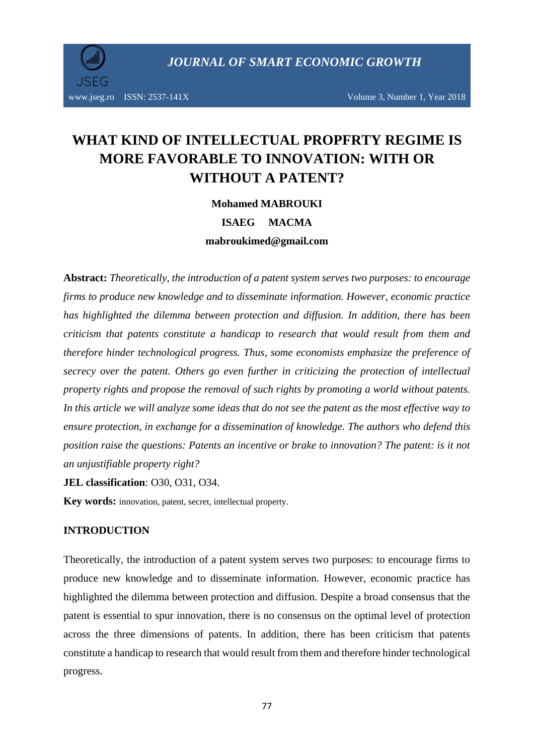

# **WHAT KIND OF INTELLECTUAL PROPFRTY REGIME IS MORE FAVORABLE TO INNOVATION: WITH OR WITHOUT A PATENT?**

**Mohamed MABROUKI**

**ISAEG MACMA mabroukimed@gmail.com**

**Abstract:** *Theoretically, the introduction of a patent system serves two purposes: to encourage firms to produce new knowledge and to disseminate information. However, economic practice has highlighted the dilemma between protection and diffusion. In addition, there has been criticism that patents constitute a handicap to research that would result from them and therefore hinder technological progress. Thus, some economists emphasize the preference of secrecy over the patent. Others go even further in criticizing the protection of intellectual property rights and propose the removal of such rights by promoting a world without patents. In this article we will analyze some ideas that do not see the patent as the most effective way to ensure protection, in exchange for a dissemination of knowledge. The authors who defend this position raise the questions: Patents an incentive or brake to innovation? The patent: is it not an unjustifiable property right?*

**JEL classification**: [O30,](http://econpapers.repec.org/scripts/search.pf?jel=O12) [O31, O34.](http://econpapers.repec.org/scripts/search.pf?jel=O47)

**Key words:** innovation, patent, secret, intellectual property.

#### **INTRODUCTION**

Theoretically, the introduction of a patent system serves two purposes: to encourage firms to produce new knowledge and to disseminate information. However, economic practice has highlighted the dilemma between protection and diffusion. Despite a broad consensus that the patent is essential to spur innovation, there is no consensus on the optimal level of protection across the three dimensions of patents. In addition, there has been criticism that patents constitute a handicap to research that would result from them and therefore hinder technological progress.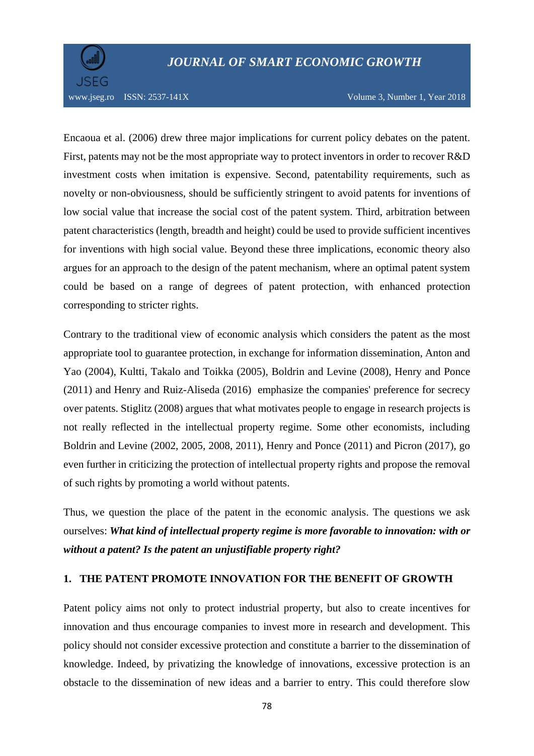

Encaoua et al. (2006) drew three major implications for current policy debates on the patent. First, patents may not be the most appropriate way to protect inventors in order to recover R&D investment costs when imitation is expensive. Second, patentability requirements, such as novelty or non-obviousness, should be sufficiently stringent to avoid patents for inventions of low social value that increase the social cost of the patent system. Third, arbitration between patent characteristics (length, breadth and height) could be used to provide sufficient incentives for inventions with high social value. Beyond these three implications, economic theory also argues for an approach to the design of the patent mechanism, where an optimal patent system could be based on a range of degrees of patent protection, with enhanced protection corresponding to stricter rights.

Contrary to the traditional view of economic analysis which considers the patent as the most appropriate tool to guarantee protection, in exchange for information dissemination, Anton and Yao (2004), Kultti, Takalo and Toikka (2005), Boldrin and Levine (2008), Henry and Ponce (2011) and Henry and Ruiz-Aliseda (2016) emphasize the companies' preference for secrecy over patents. Stiglitz (2008) argues that what motivates people to engage in research projects is not really reflected in the intellectual property regime. Some other economists, including Boldrin and Levine (2002, 2005, 2008, 2011), Henry and Ponce (2011) and Picron (2017), go even further in criticizing the protection of intellectual property rights and propose the removal of such rights by promoting a world without patents.

Thus, we question the place of the patent in the economic analysis. The questions we ask ourselves: *What kind of intellectual property regime is more favorable to innovation: with or without a patent? Is the patent an unjustifiable property right?*

#### **1. THE PATENT PROMOTE INNOVATION FOR THE BENEFIT OF GROWTH**

Patent policy aims not only to protect industrial property, but also to create incentives for innovation and thus encourage companies to invest more in research and development. This policy should not consider excessive protection and constitute a barrier to the dissemination of knowledge. Indeed, by privatizing the knowledge of innovations, excessive protection is an obstacle to the dissemination of new ideas and a barrier to entry. This could therefore slow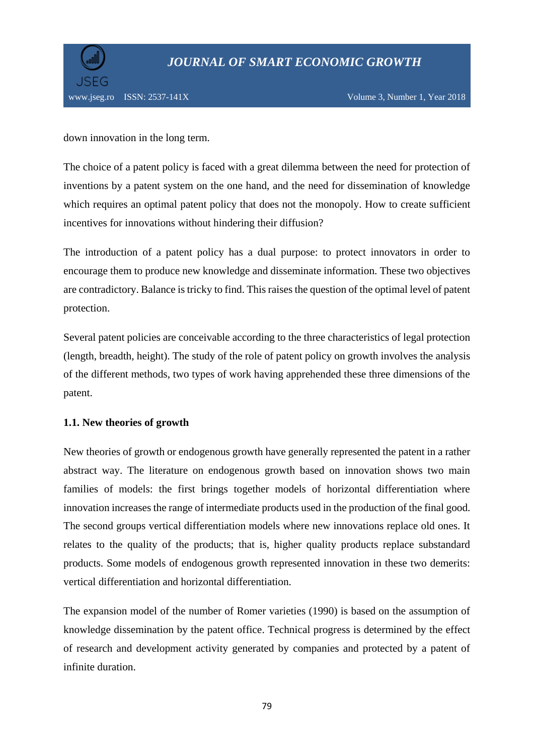

down innovation in the long term.

The choice of a patent policy is faced with a great dilemma between the need for protection of inventions by a patent system on the one hand, and the need for dissemination of knowledge which requires an optimal patent policy that does not the monopoly. How to create sufficient incentives for innovations without hindering their diffusion?

The introduction of a patent policy has a dual purpose: to protect innovators in order to encourage them to produce new knowledge and disseminate information. These two objectives are contradictory. Balance is tricky to find. This raises the question of the optimal level of patent protection.

Several patent policies are conceivable according to the three characteristics of legal protection (length, breadth, height). The study of the role of patent policy on growth involves the analysis of the different methods, two types of work having apprehended these three dimensions of the patent.

## **1.1. New theories of growth**

New theories of growth or endogenous growth have generally represented the patent in a rather abstract way. The literature on endogenous growth based on innovation shows two main families of models: the first brings together models of horizontal differentiation where innovation increases the range of intermediate products used in the production of the final good. The second groups vertical differentiation models where new innovations replace old ones. It relates to the quality of the products; that is, higher quality products replace substandard products. Some models of endogenous growth represented innovation in these two demerits: vertical differentiation and horizontal differentiation.

The expansion model of the number of Romer varieties (1990) is based on the assumption of knowledge dissemination by the patent office. Technical progress is determined by the effect of research and development activity generated by companies and protected by a patent of infinite duration.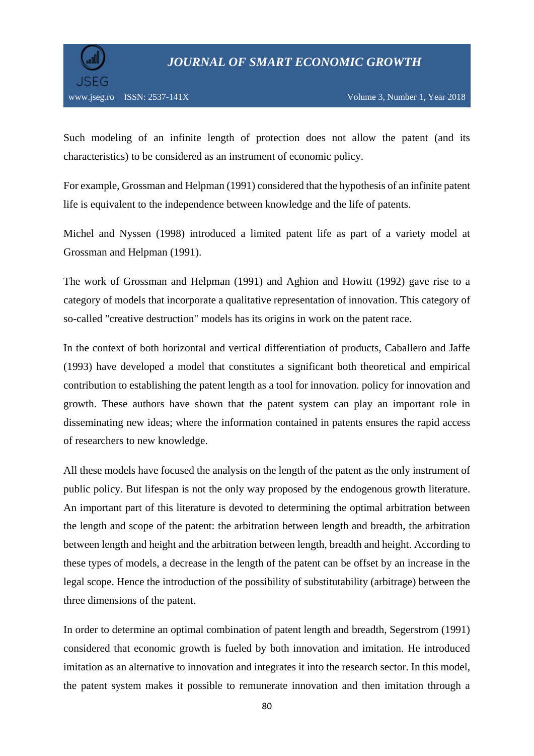

Such modeling of an infinite length of protection does not allow the patent (and its characteristics) to be considered as an instrument of economic policy.

For example, Grossman and Helpman (1991) considered that the hypothesis of an infinite patent life is equivalent to the independence between knowledge and the life of patents.

Michel and Nyssen (1998) introduced a limited patent life as part of a variety model at Grossman and Helpman (1991).

The work of Grossman and Helpman (1991) and Aghion and Howitt (1992) gave rise to a category of models that incorporate a qualitative representation of innovation. This category of so-called "creative destruction" models has its origins in work on the patent race.

In the context of both horizontal and vertical differentiation of products, Caballero and Jaffe (1993) have developed a model that constitutes a significant both theoretical and empirical contribution to establishing the patent length as a tool for innovation. policy for innovation and growth. These authors have shown that the patent system can play an important role in disseminating new ideas; where the information contained in patents ensures the rapid access of researchers to new knowledge.

All these models have focused the analysis on the length of the patent as the only instrument of public policy. But lifespan is not the only way proposed by the endogenous growth literature. An important part of this literature is devoted to determining the optimal arbitration between the length and scope of the patent: the arbitration between length and breadth, the arbitration between length and height and the arbitration between length, breadth and height. According to these types of models, a decrease in the length of the patent can be offset by an increase in the legal scope. Hence the introduction of the possibility of substitutability (arbitrage) between the three dimensions of the patent.

In order to determine an optimal combination of patent length and breadth, Segerstrom (1991) considered that economic growth is fueled by both innovation and imitation. He introduced imitation as an alternative to innovation and integrates it into the research sector. In this model, the patent system makes it possible to remunerate innovation and then imitation through a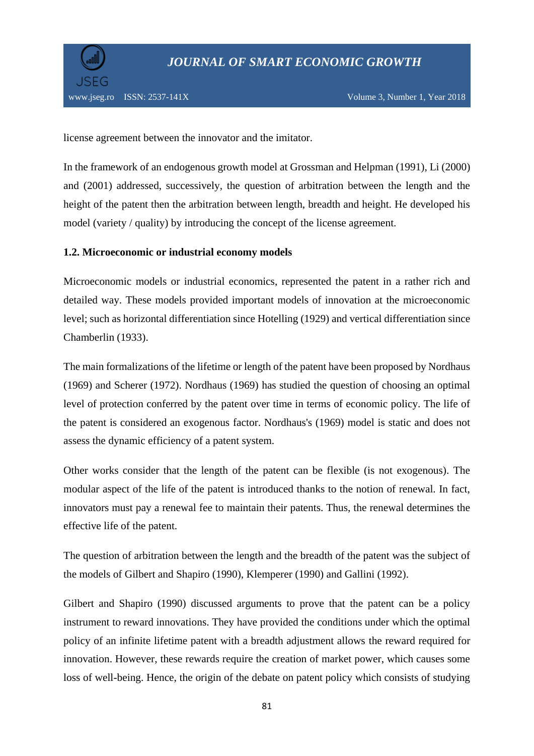

license agreement between the innovator and the imitator.

In the framework of an endogenous growth model at Grossman and Helpman (1991), Li (2000) and (2001) addressed, successively, the question of arbitration between the length and the height of the patent then the arbitration between length, breadth and height. He developed his model (variety / quality) by introducing the concept of the license agreement.

#### **1.2. Microeconomic or industrial economy models**

Microeconomic models or industrial economics, represented the patent in a rather rich and detailed way. These models provided important models of innovation at the microeconomic level; such as horizontal differentiation since Hotelling (1929) and vertical differentiation since Chamberlin (1933).

The main formalizations of the lifetime or length of the patent have been proposed by Nordhaus (1969) and Scherer (1972). Nordhaus (1969) has studied the question of choosing an optimal level of protection conferred by the patent over time in terms of economic policy. The life of the patent is considered an exogenous factor. Nordhaus's (1969) model is static and does not assess the dynamic efficiency of a patent system.

Other works consider that the length of the patent can be flexible (is not exogenous). The modular aspect of the life of the patent is introduced thanks to the notion of renewal. In fact, innovators must pay a renewal fee to maintain their patents. Thus, the renewal determines the effective life of the patent.

The question of arbitration between the length and the breadth of the patent was the subject of the models of Gilbert and Shapiro (1990), Klemperer (1990) and Gallini (1992).

Gilbert and Shapiro (1990) discussed arguments to prove that the patent can be a policy instrument to reward innovations. They have provided the conditions under which the optimal policy of an infinite lifetime patent with a breadth adjustment allows the reward required for innovation. However, these rewards require the creation of market power, which causes some loss of well-being. Hence, the origin of the debate on patent policy which consists of studying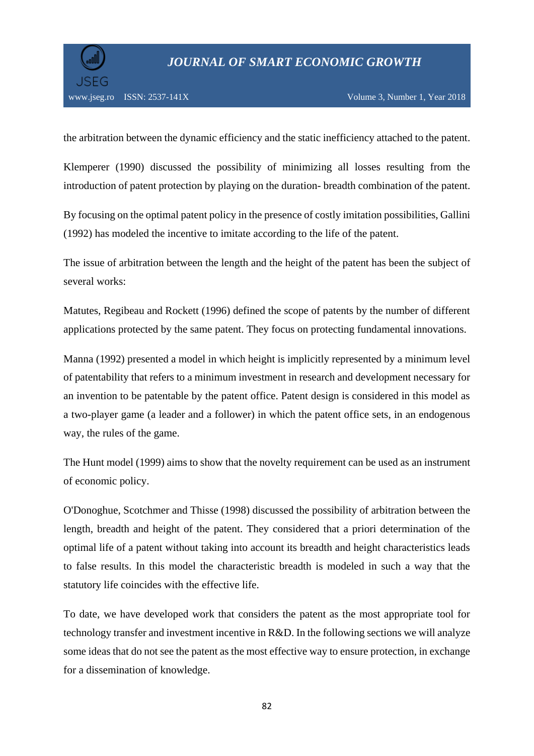

the arbitration between the dynamic efficiency and the static inefficiency attached to the patent.

Klemperer (1990) discussed the possibility of minimizing all losses resulting from the introduction of patent protection by playing on the duration- breadth combination of the patent.

By focusing on the optimal patent policy in the presence of costly imitation possibilities, Gallini (1992) has modeled the incentive to imitate according to the life of the patent.

The issue of arbitration between the length and the height of the patent has been the subject of several works:

Matutes, Regibeau and Rockett (1996) defined the scope of patents by the number of different applications protected by the same patent. They focus on protecting fundamental innovations.

Manna (1992) presented a model in which height is implicitly represented by a minimum level of patentability that refers to a minimum investment in research and development necessary for an invention to be patentable by the patent office. Patent design is considered in this model as a two-player game (a leader and a follower) in which the patent office sets, in an endogenous way, the rules of the game.

The Hunt model (1999) aims to show that the novelty requirement can be used as an instrument of economic policy.

O'Donoghue, Scotchmer and Thisse (1998) discussed the possibility of arbitration between the length, breadth and height of the patent. They considered that a priori determination of the optimal life of a patent without taking into account its breadth and height characteristics leads to false results. In this model the characteristic breadth is modeled in such a way that the statutory life coincides with the effective life.

To date, we have developed work that considers the patent as the most appropriate tool for technology transfer and investment incentive in R&D. In the following sections we will analyze some ideas that do not see the patent as the most effective way to ensure protection, in exchange for a dissemination of knowledge.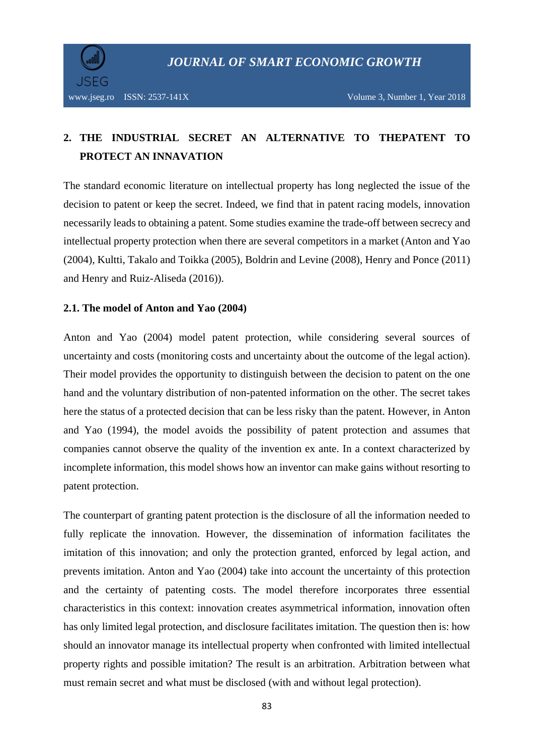

## **2. THE INDUSTRIAL SECRET AN ALTERNATIVE TO THEPATENT TO PROTECT AN INNAVATION**

The standard economic literature on intellectual property has long neglected the issue of the decision to patent or keep the secret. Indeed, we find that in patent racing models, innovation necessarily leads to obtaining a patent. Some studies examine the trade-off between secrecy and intellectual property protection when there are several competitors in a market (Anton and Yao (2004), Kultti, Takalo and Toikka (2005), Boldrin and Levine (2008), Henry and Ponce (2011) and Henry and Ruiz-Aliseda (2016)).

#### **2.1. The model of Anton and Yao (2004)**

Anton and Yao (2004) model patent protection, while considering several sources of uncertainty and costs (monitoring costs and uncertainty about the outcome of the legal action). Their model provides the opportunity to distinguish between the decision to patent on the one hand and the voluntary distribution of non-patented information on the other. The secret takes here the status of a protected decision that can be less risky than the patent. However, in Anton and Yao (1994), the model avoids the possibility of patent protection and assumes that companies cannot observe the quality of the invention ex ante. In a context characterized by incomplete information, this model shows how an inventor can make gains without resorting to patent protection.

The counterpart of granting patent protection is the disclosure of all the information needed to fully replicate the innovation. However, the dissemination of information facilitates the imitation of this innovation; and only the protection granted, enforced by legal action, and prevents imitation. Anton and Yao (2004) take into account the uncertainty of this protection and the certainty of patenting costs. The model therefore incorporates three essential characteristics in this context: innovation creates asymmetrical information, innovation often has only limited legal protection, and disclosure facilitates imitation. The question then is: how should an innovator manage its intellectual property when confronted with limited intellectual property rights and possible imitation? The result is an arbitration. Arbitration between what must remain secret and what must be disclosed (with and without legal protection).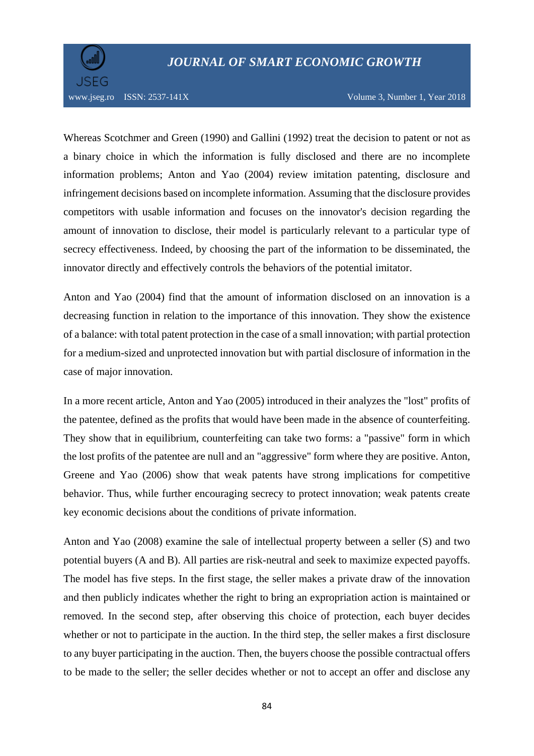

Whereas Scotchmer and Green (1990) and Gallini (1992) treat the decision to patent or not as a binary choice in which the information is fully disclosed and there are no incomplete information problems; Anton and Yao (2004) review imitation patenting, disclosure and infringement decisions based on incomplete information. Assuming that the disclosure provides competitors with usable information and focuses on the innovator's decision regarding the amount of innovation to disclose, their model is particularly relevant to a particular type of secrecy effectiveness. Indeed, by choosing the part of the information to be disseminated, the innovator directly and effectively controls the behaviors of the potential imitator.

Anton and Yao (2004) find that the amount of information disclosed on an innovation is a decreasing function in relation to the importance of this innovation. They show the existence of a balance: with total patent protection in the case of a small innovation; with partial protection for a medium-sized and unprotected innovation but with partial disclosure of information in the case of major innovation.

In a more recent article, Anton and Yao (2005) introduced in their analyzes the "lost" profits of the patentee, defined as the profits that would have been made in the absence of counterfeiting. They show that in equilibrium, counterfeiting can take two forms: a "passive" form in which the lost profits of the patentee are null and an "aggressive" form where they are positive. Anton, Greene and Yao (2006) show that weak patents have strong implications for competitive behavior. Thus, while further encouraging secrecy to protect innovation; weak patents create key economic decisions about the conditions of private information.

Anton and Yao (2008) examine the sale of intellectual property between a seller (S) and two potential buyers (A and B). All parties are risk-neutral and seek to maximize expected payoffs. The model has five steps. In the first stage, the seller makes a private draw of the innovation and then publicly indicates whether the right to bring an expropriation action is maintained or removed. In the second step, after observing this choice of protection, each buyer decides whether or not to participate in the auction. In the third step, the seller makes a first disclosure to any buyer participating in the auction. Then, the buyers choose the possible contractual offers to be made to the seller; the seller decides whether or not to accept an offer and disclose any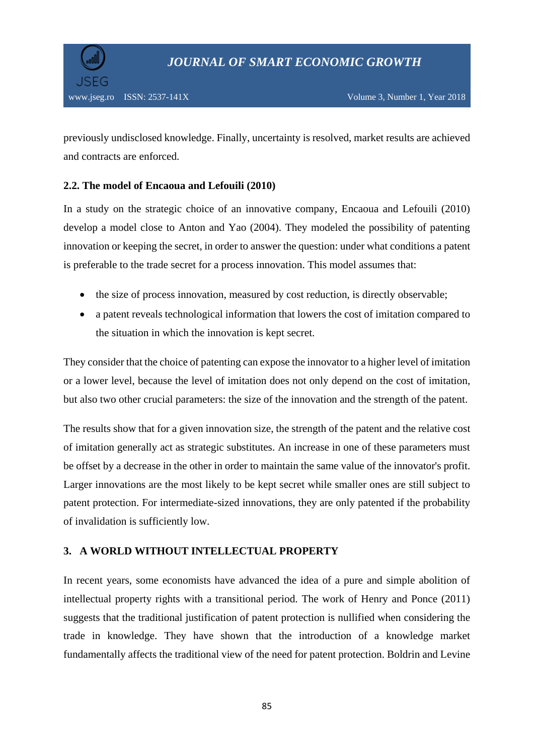previously undisclosed knowledge. Finally, uncertainty is resolved, market results are achieved and contracts are enforced.

## **2.2. The model of Encaoua and Lefouili (2010)**

In a study on the strategic choice of an innovative company, Encaoua and Lefouili (2010) develop a model close to Anton and Yao (2004). They modeled the possibility of patenting innovation or keeping the secret, in order to answer the question: under what conditions a patent is preferable to the trade secret for a process innovation. This model assumes that:

- the size of process innovation, measured by cost reduction, is directly observable;
- a patent reveals technological information that lowers the cost of imitation compared to the situation in which the innovation is kept secret.

They consider that the choice of patenting can expose the innovator to a higher level of imitation or a lower level, because the level of imitation does not only depend on the cost of imitation, but also two other crucial parameters: the size of the innovation and the strength of the patent.

The results show that for a given innovation size, the strength of the patent and the relative cost of imitation generally act as strategic substitutes. An increase in one of these parameters must be offset by a decrease in the other in order to maintain the same value of the innovator's profit. Larger innovations are the most likely to be kept secret while smaller ones are still subject to patent protection. For intermediate-sized innovations, they are only patented if the probability of invalidation is sufficiently low.

## **3. A WORLD WITHOUT INTELLECTUAL PROPERTY**

In recent years, some economists have advanced the idea of a pure and simple abolition of intellectual property rights with a transitional period. The work of Henry and Ponce (2011) suggests that the traditional justification of patent protection is nullified when considering the trade in knowledge. They have shown that the introduction of a knowledge market fundamentally affects the traditional view of the need for patent protection. Boldrin and Levine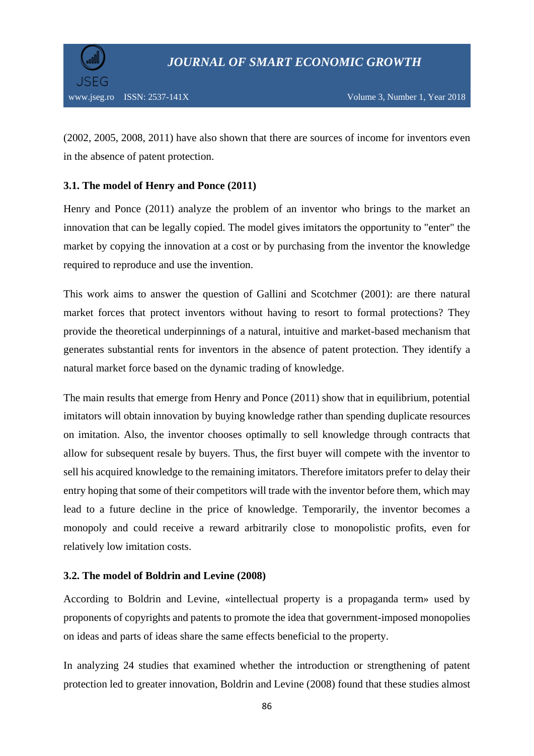

(2002, 2005, 2008, 2011) have also shown that there are sources of income for inventors even in the absence of patent protection.

## **3.1. The model of Henry and Ponce (2011)**

Henry and Ponce (2011) analyze the problem of an inventor who brings to the market an innovation that can be legally copied. The model gives imitators the opportunity to "enter" the market by copying the innovation at a cost or by purchasing from the inventor the knowledge required to reproduce and use the invention.

This work aims to answer the question of Gallini and Scotchmer (2001): are there natural market forces that protect inventors without having to resort to formal protections? They provide the theoretical underpinnings of a natural, intuitive and market-based mechanism that generates substantial rents for inventors in the absence of patent protection. They identify a natural market force based on the dynamic trading of knowledge.

The main results that emerge from Henry and Ponce (2011) show that in equilibrium, potential imitators will obtain innovation by buying knowledge rather than spending duplicate resources on imitation. Also, the inventor chooses optimally to sell knowledge through contracts that allow for subsequent resale by buyers. Thus, the first buyer will compete with the inventor to sell his acquired knowledge to the remaining imitators. Therefore imitators prefer to delay their entry hoping that some of their competitors will trade with the inventor before them, which may lead to a future decline in the price of knowledge. Temporarily, the inventor becomes a monopoly and could receive a reward arbitrarily close to monopolistic profits, even for relatively low imitation costs.

## **3.2. The model of Boldrin and Levine (2008)**

According to Boldrin and Levine, «intellectual property is a propaganda term» used by proponents of copyrights and patents to promote the idea that government-imposed monopolies on ideas and parts of ideas share the same effects beneficial to the property.

In analyzing 24 studies that examined whether the introduction or strengthening of patent protection led to greater innovation, Boldrin and Levine (2008) found that these studies almost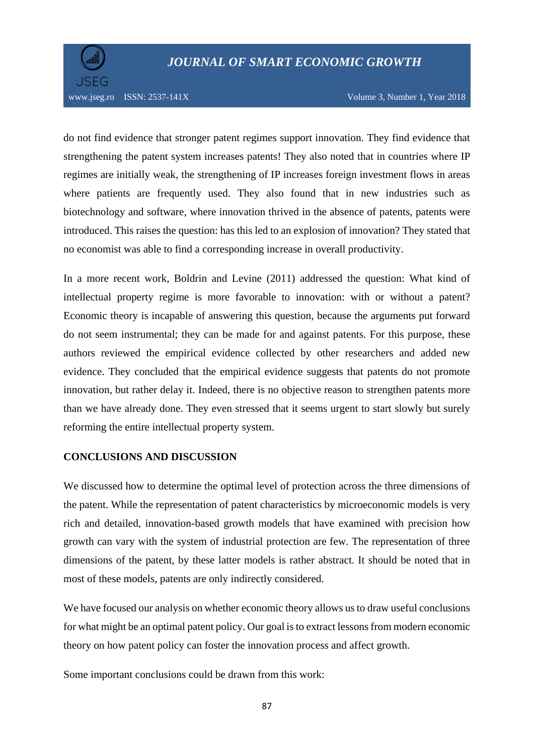

do not find evidence that stronger patent regimes support innovation. They find evidence that strengthening the patent system increases patents! They also noted that in countries where IP regimes are initially weak, the strengthening of IP increases foreign investment flows in areas where patients are frequently used. They also found that in new industries such as biotechnology and software, where innovation thrived in the absence of patents, patents were introduced. This raises the question: has this led to an explosion of innovation? They stated that no economist was able to find a corresponding increase in overall productivity.

In a more recent work, Boldrin and Levine (2011) addressed the question: What kind of intellectual property regime is more favorable to innovation: with or without a patent? Economic theory is incapable of answering this question, because the arguments put forward do not seem instrumental; they can be made for and against patents. For this purpose, these authors reviewed the empirical evidence collected by other researchers and added new evidence. They concluded that the empirical evidence suggests that patents do not promote innovation, but rather delay it. Indeed, there is no objective reason to strengthen patents more than we have already done. They even stressed that it seems urgent to start slowly but surely reforming the entire intellectual property system.

## **CONCLUSIONS AND DISCUSSION**

We discussed how to determine the optimal level of protection across the three dimensions of the patent. While the representation of patent characteristics by microeconomic models is very rich and detailed, innovation-based growth models that have examined with precision how growth can vary with the system of industrial protection are few. The representation of three dimensions of the patent, by these latter models is rather abstract. It should be noted that in most of these models, patents are only indirectly considered.

We have focused our analysis on whether economic theory allows us to draw useful conclusions for what might be an optimal patent policy. Our goal is to extract lessons from modern economic theory on how patent policy can foster the innovation process and affect growth.

Some important conclusions could be drawn from this work: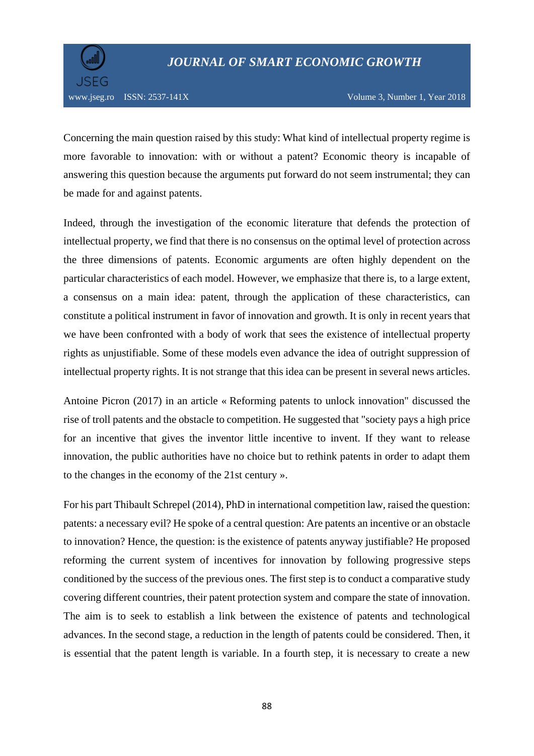

Concerning the main question raised by this study: What kind of intellectual property regime is more favorable to innovation: with or without a patent? Economic theory is incapable of answering this question because the arguments put forward do not seem instrumental; they can be made for and against patents.

Indeed, through the investigation of the economic literature that defends the protection of intellectual property, we find that there is no consensus on the optimal level of protection across the three dimensions of patents. Economic arguments are often highly dependent on the particular characteristics of each model. However, we emphasize that there is, to a large extent, a consensus on a main idea: patent, through the application of these characteristics, can constitute a political instrument in favor of innovation and growth. It is only in recent years that we have been confronted with a body of work that sees the existence of intellectual property rights as unjustifiable. Some of these models even advance the idea of outright suppression of intellectual property rights. It is not strange that this idea can be present in several news articles.

Antoine Picron (2017) in an article « Reforming patents to unlock innovation" discussed the rise of troll patents and the obstacle to competition. He suggested that "society pays a high price for an incentive that gives the inventor little incentive to invent. If they want to release innovation, the public authorities have no choice but to rethink patents in order to adapt them to the changes in the economy of the 21st century ».

For his part Thibault Schrepel (2014), PhD in international competition law, raised the question: patents: a necessary evil? He spoke of a central question: Are patents an incentive or an obstacle to innovation? Hence, the question: is the existence of patents anyway justifiable? He proposed reforming the current system of incentives for innovation by following progressive steps conditioned by the success of the previous ones. The first step is to conduct a comparative study covering different countries, their patent protection system and compare the state of innovation. The aim is to seek to establish a link between the existence of patents and technological advances. In the second stage, a reduction in the length of patents could be considered. Then, it is essential that the patent length is variable. In a fourth step, it is necessary to create a new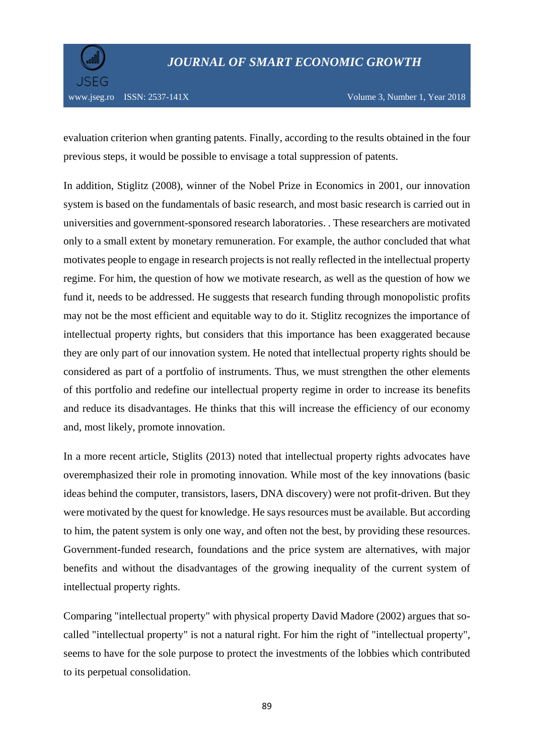

evaluation criterion when granting patents. Finally, according to the results obtained in the four previous steps, it would be possible to envisage a total suppression of patents.

In addition, Stiglitz (2008), winner of the Nobel Prize in Economics in 2001, our innovation system is based on the fundamentals of basic research, and most basic research is carried out in universities and government-sponsored research laboratories. . These researchers are motivated only to a small extent by monetary remuneration. For example, the author concluded that what motivates people to engage in research projects is not really reflected in the intellectual property regime. For him, the question of how we motivate research, as well as the question of how we fund it, needs to be addressed. He suggests that research funding through monopolistic profits may not be the most efficient and equitable way to do it. Stiglitz recognizes the importance of intellectual property rights, but considers that this importance has been exaggerated because they are only part of our innovation system. He noted that intellectual property rights should be considered as part of a portfolio of instruments. Thus, we must strengthen the other elements of this portfolio and redefine our intellectual property regime in order to increase its benefits and reduce its disadvantages. He thinks that this will increase the efficiency of our economy and, most likely, promote innovation.

In a more recent article, Stiglits (2013) noted that intellectual property rights advocates have overemphasized their role in promoting innovation. While most of the key innovations (basic ideas behind the computer, transistors, lasers, DNA discovery) were not profit-driven. But they were motivated by the quest for knowledge. He says resources must be available. But according to him, the patent system is only one way, and often not the best, by providing these resources. Government-funded research, foundations and the price system are alternatives, with major benefits and without the disadvantages of the growing inequality of the current system of intellectual property rights.

Comparing "intellectual property" with physical property David Madore (2002) argues that socalled "intellectual property" is not a natural right. For him the right of "intellectual property", seems to have for the sole purpose to protect the investments of the lobbies which contributed to its perpetual consolidation.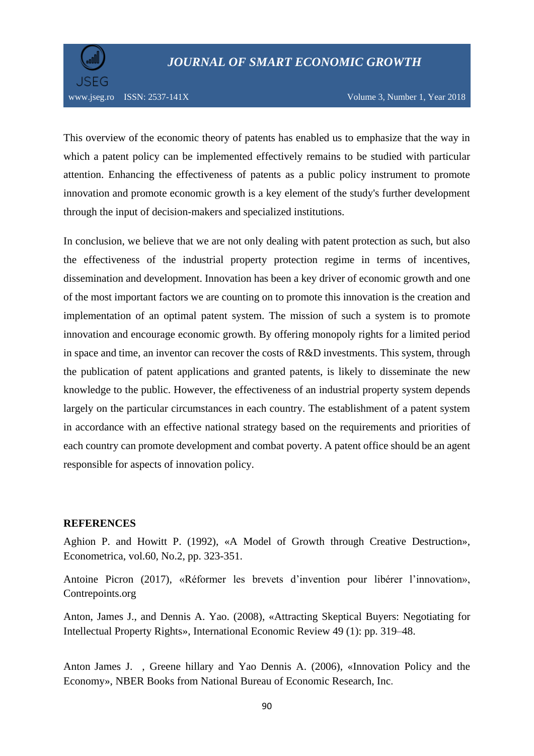

This overview of the economic theory of patents has enabled us to emphasize that the way in which a patent policy can be implemented effectively remains to be studied with particular attention. Enhancing the effectiveness of patents as a public policy instrument to promote innovation and promote economic growth is a key element of the study's further development through the input of decision-makers and specialized institutions.

In conclusion, we believe that we are not only dealing with patent protection as such, but also the effectiveness of the industrial property protection regime in terms of incentives, dissemination and development. Innovation has been a key driver of economic growth and one of the most important factors we are counting on to promote this innovation is the creation and implementation of an optimal patent system. The mission of such a system is to promote innovation and encourage economic growth. By offering monopoly rights for a limited period in space and time, an inventor can recover the costs of R&D investments. This system, through the publication of patent applications and granted patents, is likely to disseminate the new knowledge to the public. However, the effectiveness of an industrial property system depends largely on the particular circumstances in each country. The establishment of a patent system in accordance with an effective national strategy based on the requirements and priorities of each country can promote development and combat poverty. A patent office should be an agent responsible for aspects of innovation policy.

#### **REFERENCES**

Aghion P. and Howitt P. (1992), «A Model of Growth through Creative Destruction», Econometrica, vol.60, No.2, pp. 323-351.

Antoine Picron (2017), «Réformer les brevets d'invention pour libérer l'innovation», Contrepoints.org

Anton, James J., and Dennis A. Yao. (2008), «Attracting Skeptical Buyers: Negotiating for Intellectual Property Rights», International Economic Review 49 (1): pp. 319–48.

Anton James J. , Greene hillary and Yao Dennis A. (2006), «Innovation Policy and the Economy», [NBER Books](https://econpapers.repec.org/bookchap/nbrnberbk/) from [National Bureau of Economic Research, Inc](http://www.nber.org/).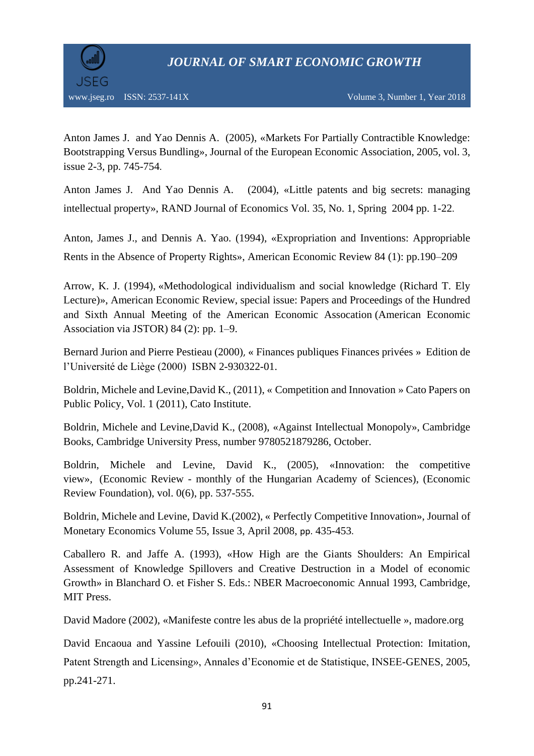

Anton James J. and Yao Dennis A. (2005), «Markets For Partially Contractible Knowledge: Bootstrapping Versus Bundling», [Journal of the European Economic Association,](https://econpapers.repec.org/article/tprjeurec/) 2005, vol. 3, issue 2-3, pp. 745-754.

Anton James J. And Yao Dennis A. (2004), «Little patents and big secrets: managing intellectual property», RAND Journal of Economics Vol. 35, No. 1, Spring 2004 pp. 1-22.

Anton, James J., and Dennis A. Yao. (1994), «Expropriation and Inventions: Appropriable Rents in the Absence of Property Rights», American Economic Review 84 (1): pp.190–209

Arrow, K. J. (1994), [«Methodological individualism and social knowledge \(Richard T. Ely](http://www.jstor.org/stable/2117792)  [Lecture\)»](http://www.jstor.org/stable/2117792), [American Economic Review,](http://en.wikipedia.org/wiki/American_Economic_Review) special issue: Papers and Proceedings of the Hundred and Sixth Annual Meeting of the American Economic Assocation (American Economic Association via JSTOR) 84 (2): pp. 1–9.

Bernard Jurion and Pierre Pestieau (2000), « Finances publiques Finances privées » Edition de l'Université de Liège (2000) ISBN 2-930322-01.

Boldrin, Michele and Levine,David K., (2011), « Competition and Innovation » Cato Papers on Public Policy, Vol. 1 (2011), Cato Institute.

Boldrin, Michele and Levine,David K., (2008), [«Against Intellectual Monopoly»](https://ideas.repec.org/b/cup/cbooks/9780521879286.html), [Cambridge](https://ideas.repec.org/s/cup/cbooks.html)  [Books,](https://ideas.repec.org/s/cup/cbooks.html) Cambridge University Press, number 9780521879286, October.

Boldrin, Michele and Levine, David K., (2005), [«Innovation: the competitive](https://ideas.repec.org/a/ksa/szemle/768.html)  [view»](https://ideas.repec.org/a/ksa/szemle/768.html), (Economic Review - [monthly of the Hungarian Academy of Sciences\),](https://ideas.repec.org/s/ksa/szemle.html) (Economic Review Foundation), vol. 0(6), pp. 537-555.

Boldrin, Michele and Levine, David K.(2002), « Perfectly Competitive Innovation», [Journal of](http://www.sciencedirect.com/science/journal/03043932)  [Monetary Economics](http://www.sciencedirect.com/science/journal/03043932) [Volume 55, Issue 3,](http://www.sciencedirect.com/science/journal/03043932/55/3) April 2008, pp. 435-453.

Caballero R. and Jaffe A. (1993), «How High are the Giants Shoulders: An Empirical Assessment of Knowledge Spillovers and Creative Destruction in a Model of economic Growth» in Blanchard O. et Fisher S. Eds.: NBER Macroeconomic Annual 1993, Cambridge, MIT Press.

David Madore (2002), «Manifeste contre les abus de la propriété intellectuelle », madore.org

David Encaoua and Yassine Lefouili (2010), «Choosing Intellectual Protection: Imitation, Patent Strength and Licensing», Annales d'Economie et de Statistique, INSEE-GENES, 2005, pp.241-271.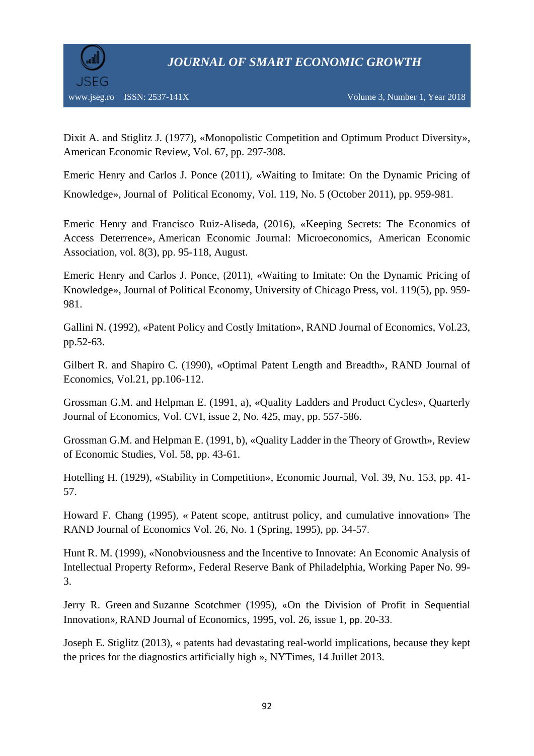

Dixit A. and Stiglitz J. (1977), «Monopolistic Competition and Optimum Product Diversity», American Economic Review, Vol. 67, pp. 297-308.

Emeric Henry and Carlos J. Ponce (2011), «Waiting to Imitate: On the Dynamic Pricing of Knowledge», Journal of Political Economy, Vol. 119, No. 5 (October 2011), pp. 959-981.

Emeric Henry and Francisco Ruiz-Aliseda, (2016), [«Keeping Secrets: The Economics of](https://ideas.repec.org/a/aea/aejmic/v8y2016i3p95-118.html)  [Access Deterrence»](https://ideas.repec.org/a/aea/aejmic/v8y2016i3p95-118.html), [American Economic Journal: Microeconomics,](https://ideas.repec.org/s/aea/aejmic.html) American Economic Association, vol. 8(3), pp. 95-118, August.

Emeric Henry and Carlos J. Ponce, (2011), [«Waiting to Imitate: On the Dynamic Pricing of](https://ideas.repec.org/a/ucp/jpolec/doi10.1086-662721.html)  [Knowledge»](https://ideas.repec.org/a/ucp/jpolec/doi10.1086-662721.html), [Journal of Political Economy,](https://ideas.repec.org/s/ucp/jpolec.html) University of Chicago Press, vol. 119(5), pp. 959- 981.

Gallini N. (1992), «Patent Policy and Costly Imitation», RAND Journal of Economics, Vol.23, pp.52-63.

Gilbert R. and Shapiro C. (1990), «Optimal Patent Length and Breadth», RAND Journal of Economics, Vol.21, pp.106-112.

Grossman G.M. and Helpman E. (1991, a), «Quality Ladders and Product Cycles», Quarterly Journal of Economics, Vol. CVI, issue 2, No. 425, may, pp. 557-586.

Grossman G.M. and Helpman E. (1991, b), «Quality Ladder in the Theory of Growth», Review of Economic Studies, Vol. 58, pp. 43-61.

Hotelling H. (1929), «Stability in Competition», Economic Journal, Vol. 39, No. 153, pp. 41- 57.

Howard F. Chang (1995), « Patent scope, antitrust policy, and cumulative innovation» The RAND Journal of Economics Vol. 26, No. 1 (Spring, 1995), pp. 34-57.

Hunt R. M. (1999), «Nonobviousness and the Incentive to Innovate: An Economic Analysis of Intellectual Property Reform», Federal Reserve Bank of Philadelphia, Working Paper No. 99- 3.

Jerry R. Green and [Suzanne Scotchmer](https://econpapers.repec.org/RAS/psc49.htm) (1995), «On the Division of Profit in Sequential Innovation», [RAND Journal of Economics,](https://econpapers.repec.org/article/rjerandje/) 1995, vol. 26, issue 1, pp. 20-33.

Joseph E. Stiglitz (2013), « patents had devastating real-world implications, because they kept the prices for the diagnostics artificially high », NYTimes, 14 Juillet 2013.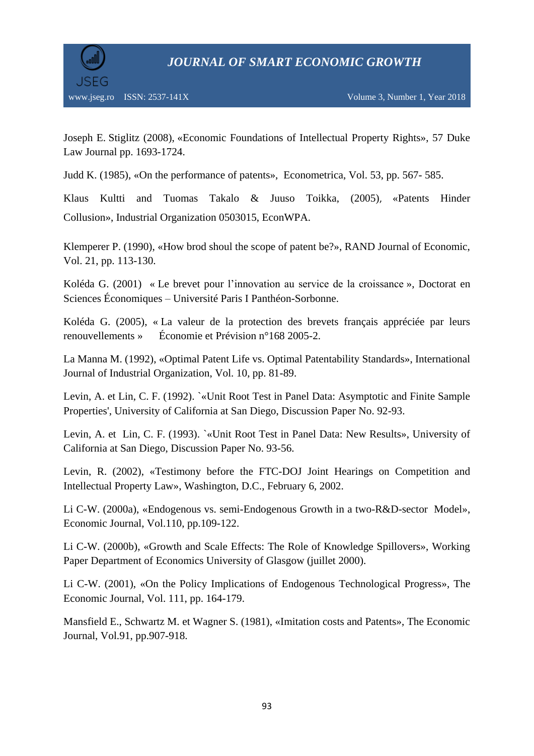

Joseph E. Stiglitz (2008), «Economic Foundations of Intellectual Property Rights», 57 Duke Law Journal pp. 1693-1724.

Judd K. (1985), «On the performance of patents», Econometrica, Vol. 53, pp. 567- 585.

Klaus Kultti and Tuomas Takalo & Juuso Toikka, (2005), [«Patents Hinder](https://ideas.repec.org/p/wpa/wuwpio/0503015.html)  [Collusion»](https://ideas.repec.org/p/wpa/wuwpio/0503015.html), [Industrial Organization](https://ideas.repec.org/s/wpa/wuwpio.html) 0503015, EconWPA.

Klemperer P. (1990), «How brod shoul the scope of patent be?», RAND Journal of Economic, Vol. 21, pp. 113-130.

Koléda G. (2001) « Le brevet pour l'innovation au service de la croissance », Doctorat en Sciences Économiques – Université Paris I Panthéon-Sorbonne.

Koléda G. (2005), « La valeur de la protection des brevets français appréciée par leurs renouvellements » Économie et Prévision n°168 2005-2.

La Manna M. (1992), «Optimal Patent Life vs. Optimal Patentability Standards», International Journal of Industrial Organization, Vol. 10, pp. 81-89.

Levin, A. et Lin, C. F. (1992). `«Unit Root Test in Panel Data: Asymptotic and Finite Sample Properties', University of California at San Diego, Discussion Paper No. 92-93.

Levin, A. et Lin, C. F. (1993). `«Unit Root Test in Panel Data: New Results», University of California at San Diego, Discussion Paper No. 93-56.

Levin, R. (2002), «Testimony before the FTC-DOJ Joint Hearings on Competition and Intellectual Property Law», Washington, D.C., February 6, 2002.

Li C-W. (2000a), «Endogenous vs. semi-Endogenous Growth in a two-R&D-sector Model», Economic Journal, Vol.110, pp.109-122.

Li C-W. (2000b), «Growth and Scale Effects: The Role of Knowledge Spillovers», Working Paper Department of Economics University of Glasgow (juillet 2000).

Li C-W. (2001), «On the Policy Implications of Endogenous Technological Progress», The Economic Journal, Vol. 111, pp. 164-179.

Mansfield E., Schwartz M. et Wagner S. (1981), «Imitation costs and Patents», The Economic Journal, Vol.91, pp.907-918.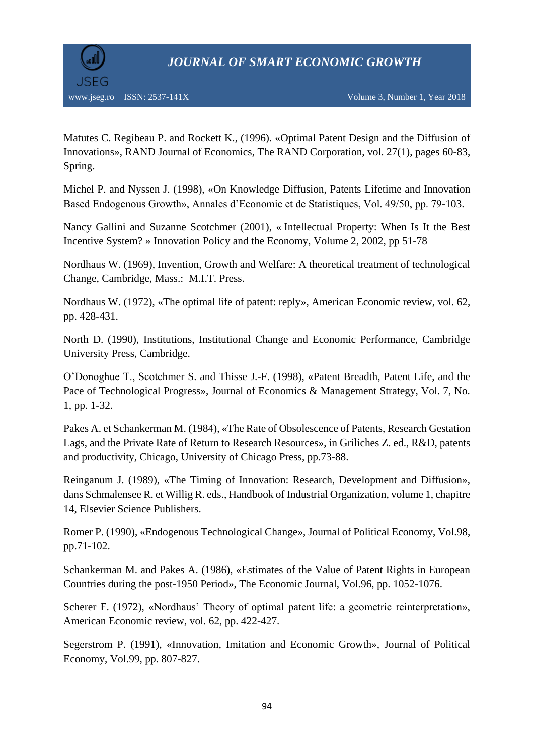

Matutes C. Regibeau P. and Rockett K., (1996). [«Optimal Patent Design and the Diffusion of](https://ideas.repec.org/a/rje/randje/v27y1996ispringp60-83.html)  [Innovations»](https://ideas.repec.org/a/rje/randje/v27y1996ispringp60-83.html), [RAND Journal of Economics,](https://ideas.repec.org/s/rje/randje.html) The RAND Corporation, vol. 27(1), pages 60-83, Spring.

Michel P. and Nyssen J. (1998), «On Knowledge Diffusion, Patents Lifetime and Innovation Based Endogenous Growth», Annales d'Economie et de Statistiques, Vol. 49/50, pp. 79-103.

Nancy Gallini and Suzanne Scotchmer (2001), « Intellectual Property: When Is It the Best Incentive System? » [Innovation Policy and the Economy, Volume 2,](https://econpapers.repec.org/bookchap/nbrnberbk/jaff02-1.htm) 2002, pp 51-78

Nordhaus W. (1969), Invention, Growth and Welfare: A theoretical treatment of technological Change, Cambridge, Mass.: M.I.T. Press.

Nordhaus W. (1972), «The optimal life of patent: reply», American Economic review, vol. 62, pp. 428-431.

North D. (1990), Institutions, Institutional Change and Economic Performance, Cambridge University Press, Cambridge.

O'Donoghue T., Scotchmer S. and Thisse J.-F. (1998), «Patent Breadth, Patent Life, and the Pace of Technological Progress», Journal of Economics & Management Strategy, Vol. 7, No. 1, pp. 1-32.

Pakes A. et Schankerman M. (1984), «The Rate of Obsolescence of Patents, Research Gestation Lags, and the Private Rate of Return to Research Resources», in Griliches Z. ed., R&D, patents and productivity, Chicago, University of Chicago Press, pp.73-88.

Reinganum J. (1989), «The Timing of Innovation: Research, Development and Diffusion», dans Schmalensee R. et Willig R. eds., Handbook of Industrial Organization, volume 1, chapitre 14, Elsevier Science Publishers.

Romer P. (1990), «Endogenous Technological Change», Journal of Political Economy, Vol.98, pp.71-102.

Schankerman M. and Pakes A. (1986), «Estimates of the Value of Patent Rights in European Countries during the post-1950 Period», The Economic Journal, Vol.96, pp. 1052-1076.

Scherer F. (1972), «Nordhaus' Theory of optimal patent life: a geometric reinterpretation», American Economic review, vol. 62, pp. 422-427.

Segerstrom P. (1991), «Innovation, Imitation and Economic Growth», Journal of Political Economy, Vol.99, pp. 807-827.